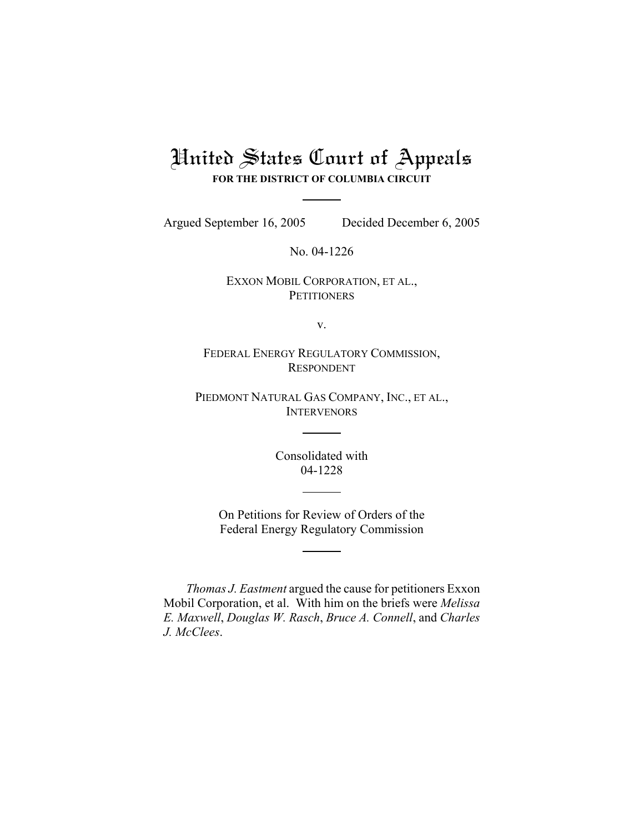## United States Court of Appeals **FOR THE DISTRICT OF COLUMBIA CIRCUIT**

Argued September 16, 2005 Decided December 6, 2005

No. 04-1226

## EXXON MOBIL CORPORATION, ET AL., **PETITIONERS**

v.

FEDERAL ENERGY REGULATORY COMMISSION, RESPONDENT

PIEDMONT NATURAL GAS COMPANY, INC., ET AL., **INTERVENORS** 

> Consolidated with 04-1228

On Petitions for Review of Orders of the Federal Energy Regulatory Commission

*Thomas J. Eastment* argued the cause for petitioners Exxon Mobil Corporation, et al. With him on the briefs were *Melissa E. Maxwell*, *Douglas W. Rasch*, *Bruce A. Connell*, and *Charles J. McClees*.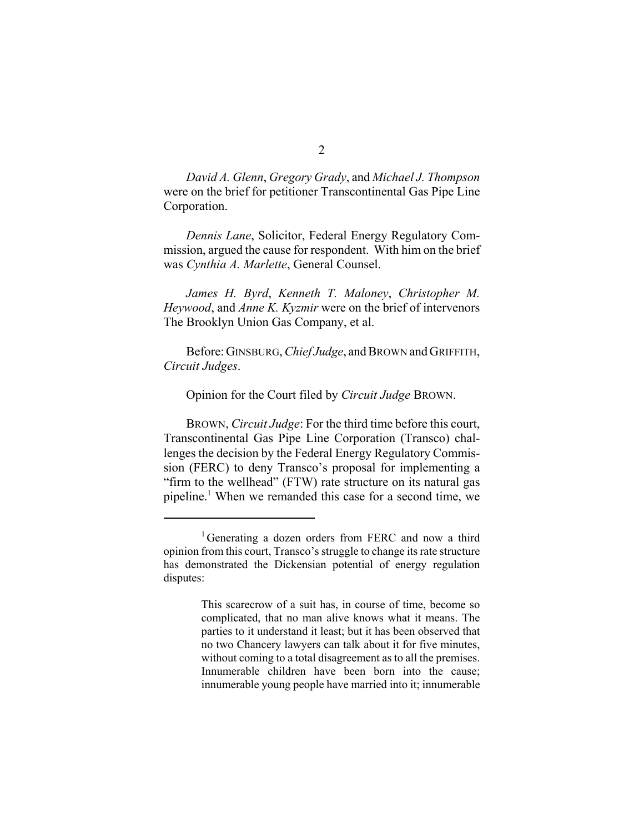*David A. Glenn*, *Gregory Grady*, and *Michael J. Thompson* were on the brief for petitioner Transcontinental Gas Pipe Line Corporation.

*Dennis Lane*, Solicitor, Federal Energy Regulatory Commission, argued the cause for respondent. With him on the brief was *Cynthia A. Marlette*, General Counsel.

*James H. Byrd*, *Kenneth T. Maloney*, *Christopher M. Heywood*, and *Anne K. Kyzmir* were on the brief of intervenors The Brooklyn Union Gas Company, et al.

Before: GINSBURG, *Chief Judge*, and BROWN and GRIFFITH, *Circuit Judges*.

Opinion for the Court filed by *Circuit Judge* BROWN.

BROWN, *Circuit Judge*: For the third time before this court, Transcontinental Gas Pipe Line Corporation (Transco) challenges the decision by the Federal Energy Regulatory Commission (FERC) to deny Transco's proposal for implementing a "firm to the wellhead" (FTW) rate structure on its natural gas pipeline.<sup>1</sup> When we remanded this case for a second time, we

<sup>&</sup>lt;sup>1</sup>Generating a dozen orders from FERC and now a third opinion from this court, Transco's struggle to change its rate structure has demonstrated the Dickensian potential of energy regulation disputes:

This scarecrow of a suit has, in course of time, become so complicated, that no man alive knows what it means. The parties to it understand it least; but it has been observed that no two Chancery lawyers can talk about it for five minutes, without coming to a total disagreement as to all the premises. Innumerable children have been born into the cause; innumerable young people have married into it; innumerable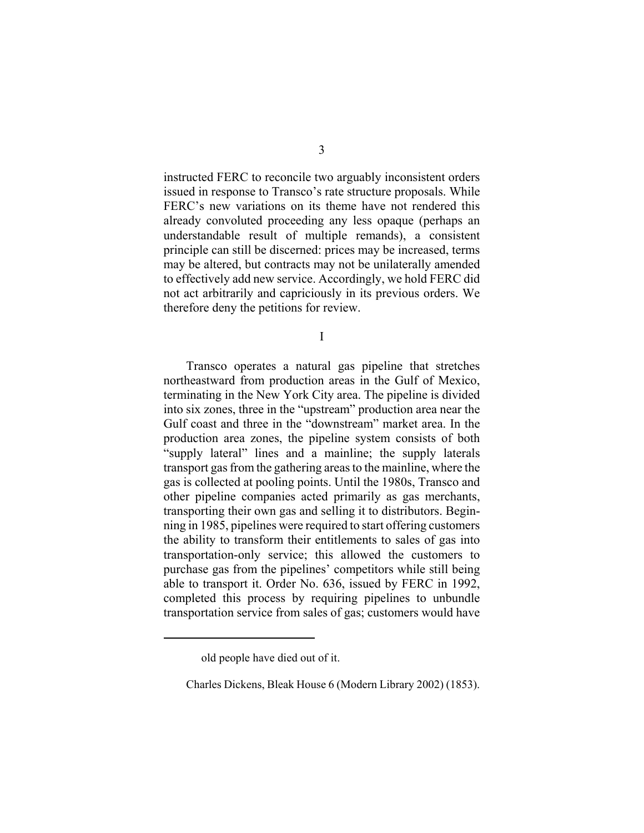instructed FERC to reconcile two arguably inconsistent orders issued in response to Transco's rate structure proposals. While FERC's new variations on its theme have not rendered this already convoluted proceeding any less opaque (perhaps an understandable result of multiple remands), a consistent principle can still be discerned: prices may be increased, terms may be altered, but contracts may not be unilaterally amended to effectively add new service. Accordingly, we hold FERC did not act arbitrarily and capriciously in its previous orders. We therefore deny the petitions for review.

I

Transco operates a natural gas pipeline that stretches northeastward from production areas in the Gulf of Mexico, terminating in the New York City area. The pipeline is divided into six zones, three in the "upstream" production area near the Gulf coast and three in the "downstream" market area. In the production area zones, the pipeline system consists of both "supply lateral" lines and a mainline; the supply laterals transport gas from the gathering areas to the mainline, where the gas is collected at pooling points. Until the 1980s, Transco and other pipeline companies acted primarily as gas merchants, transporting their own gas and selling it to distributors. Beginning in 1985, pipelines were required to start offering customers the ability to transform their entitlements to sales of gas into transportation-only service; this allowed the customers to purchase gas from the pipelines' competitors while still being able to transport it. Order No. 636, issued by FERC in 1992, completed this process by requiring pipelines to unbundle transportation service from sales of gas; customers would have

old people have died out of it.

Charles Dickens, Bleak House 6 (Modern Library 2002) (1853).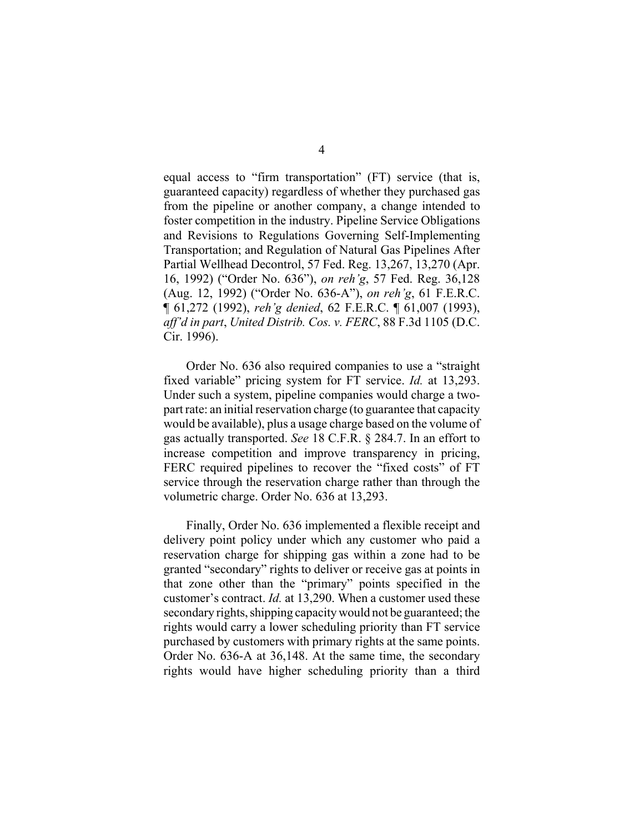equal access to "firm transportation" (FT) service (that is, guaranteed capacity) regardless of whether they purchased gas from the pipeline or another company, a change intended to foster competition in the industry. Pipeline Service Obligations and Revisions to Regulations Governing Self-Implementing Transportation; and Regulation of Natural Gas Pipelines After Partial Wellhead Decontrol, 57 Fed. Reg. 13,267, 13,270 (Apr. 16, 1992) ("Order No. 636"), *on reh'g*, 57 Fed. Reg. 36,128 (Aug. 12, 1992) ("Order No. 636-A"), *on reh'g*, 61 F.E.R.C. ¶ 61,272 (1992), *reh'g denied*, 62 F.E.R.C. ¶ 61,007 (1993), *aff'd in part*, *United Distrib. Cos. v. FERC*, 88 F.3d 1105 (D.C. Cir. 1996).

Order No. 636 also required companies to use a "straight fixed variable" pricing system for FT service. *Id.* at 13,293. Under such a system, pipeline companies would charge a twopart rate: an initial reservation charge (to guarantee that capacity would be available), plus a usage charge based on the volume of gas actually transported. *See* 18 C.F.R. § 284.7. In an effort to increase competition and improve transparency in pricing, FERC required pipelines to recover the "fixed costs" of FT service through the reservation charge rather than through the volumetric charge. Order No. 636 at 13,293.

Finally, Order No. 636 implemented a flexible receipt and delivery point policy under which any customer who paid a reservation charge for shipping gas within a zone had to be granted "secondary" rights to deliver or receive gas at points in that zone other than the "primary" points specified in the customer's contract. *Id.* at 13,290. When a customer used these secondary rights, shipping capacity would not be guaranteed; the rights would carry a lower scheduling priority than FT service purchased by customers with primary rights at the same points. Order No. 636-A at 36,148. At the same time, the secondary rights would have higher scheduling priority than a third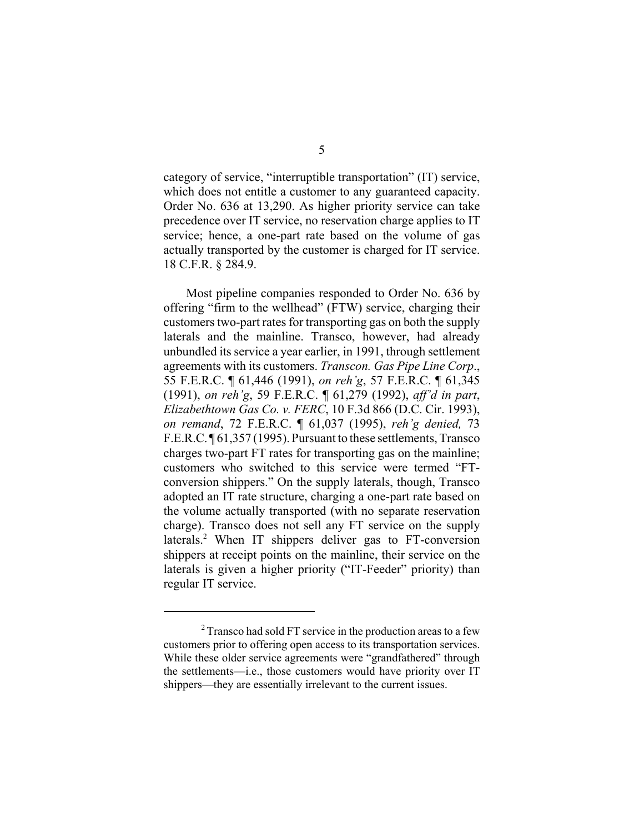category of service, "interruptible transportation" (IT) service, which does not entitle a customer to any guaranteed capacity. Order No. 636 at 13,290. As higher priority service can take precedence over IT service, no reservation charge applies to IT service; hence, a one-part rate based on the volume of gas actually transported by the customer is charged for IT service. 18 C.F.R. § 284.9.

Most pipeline companies responded to Order No. 636 by offering "firm to the wellhead" (FTW) service, charging their customers two-part rates for transporting gas on both the supply laterals and the mainline. Transco, however, had already unbundled its service a year earlier, in 1991, through settlement agreements with its customers. *Transcon. Gas Pipe Line Corp*., 55 F.E.R.C. ¶ 61,446 (1991), *on reh'g*, 57 F.E.R.C. ¶ 61,345 (1991), *on reh'g*, 59 F.E.R.C. ¶ 61,279 (1992), *aff'd in part*, *Elizabethtown Gas Co. v. FERC*, 10 F.3d 866 (D.C. Cir. 1993), *on remand*, 72 F.E.R.C. ¶ 61,037 (1995), *reh'g denied,* 73 F.E.R.C. ¶ 61,357 (1995). Pursuant to these settlements, Transco charges two-part FT rates for transporting gas on the mainline; customers who switched to this service were termed "FTconversion shippers." On the supply laterals, though, Transco adopted an IT rate structure, charging a one-part rate based on the volume actually transported (with no separate reservation charge). Transco does not sell any FT service on the supply laterals.<sup>2</sup> When IT shippers deliver gas to FT-conversion shippers at receipt points on the mainline, their service on the laterals is given a higher priority ("IT-Feeder" priority) than regular IT service.

<sup>&</sup>lt;sup>2</sup> Transco had sold FT service in the production areas to a few customers prior to offering open access to its transportation services. While these older service agreements were "grandfathered" through the settlements—i.e., those customers would have priority over IT shippers—they are essentially irrelevant to the current issues.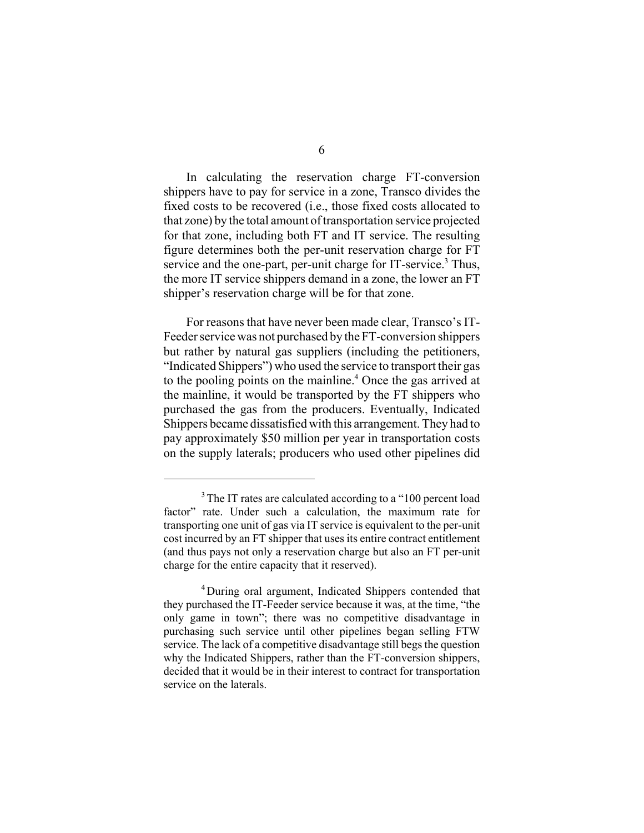In calculating the reservation charge FT-conversion shippers have to pay for service in a zone, Transco divides the fixed costs to be recovered (i.e., those fixed costs allocated to that zone) by the total amount of transportation service projected for that zone, including both FT and IT service. The resulting figure determines both the per-unit reservation charge for FT service and the one-part, per-unit charge for IT-service.<sup>3</sup> Thus, the more IT service shippers demand in a zone, the lower an FT shipper's reservation charge will be for that zone.

For reasons that have never been made clear, Transco's IT-Feeder service was not purchased by the FT-conversion shippers but rather by natural gas suppliers (including the petitioners, "Indicated Shippers") who used the service to transport their gas to the pooling points on the mainline.<sup>4</sup> Once the gas arrived at the mainline, it would be transported by the FT shippers who purchased the gas from the producers. Eventually, Indicated Shippers became dissatisfied with this arrangement. They had to pay approximately \$50 million per year in transportation costs on the supply laterals; producers who used other pipelines did

<sup>&</sup>lt;sup>3</sup>The IT rates are calculated according to a "100 percent load" factor" rate. Under such a calculation, the maximum rate for transporting one unit of gas via IT service is equivalent to the per-unit cost incurred by an FT shipper that uses its entire contract entitlement (and thus pays not only a reservation charge but also an FT per-unit charge for the entire capacity that it reserved).

<sup>4</sup>During oral argument, Indicated Shippers contended that they purchased the IT-Feeder service because it was, at the time, "the only game in town"; there was no competitive disadvantage in purchasing such service until other pipelines began selling FTW service. The lack of a competitive disadvantage still begs the question why the Indicated Shippers, rather than the FT-conversion shippers, decided that it would be in their interest to contract for transportation service on the laterals.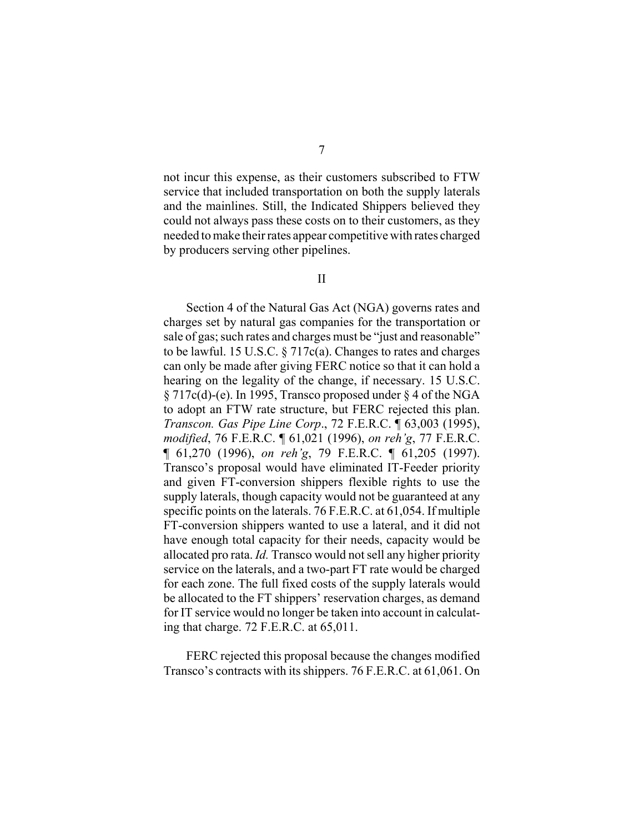not incur this expense, as their customers subscribed to FTW service that included transportation on both the supply laterals and the mainlines. Still, the Indicated Shippers believed they could not always pass these costs on to their customers, as they needed to make their rates appear competitive with rates charged by producers serving other pipelines.

Section 4 of the Natural Gas Act (NGA) governs rates and charges set by natural gas companies for the transportation or sale of gas; such rates and charges must be "just and reasonable" to be lawful. 15 U.S.C. § 717c(a). Changes to rates and charges can only be made after giving FERC notice so that it can hold a hearing on the legality of the change, if necessary. 15 U.S.C. § 717c(d)-(e). In 1995, Transco proposed under § 4 of the NGA to adopt an FTW rate structure, but FERC rejected this plan. *Transcon. Gas Pipe Line Corp*., 72 F.E.R.C. ¶ 63,003 (1995), *modified*, 76 F.E.R.C. ¶ 61,021 (1996), *on reh'g*, 77 F.E.R.C. ¶ 61,270 (1996), *on reh'g*, 79 F.E.R.C. ¶ 61,205 (1997). Transco's proposal would have eliminated IT-Feeder priority and given FT-conversion shippers flexible rights to use the supply laterals, though capacity would not be guaranteed at any specific points on the laterals. 76 F.E.R.C. at 61,054. If multiple FT-conversion shippers wanted to use a lateral, and it did not have enough total capacity for their needs, capacity would be allocated pro rata. *Id.* Transco would not sell any higher priority service on the laterals, and a two-part FT rate would be charged for each zone. The full fixed costs of the supply laterals would be allocated to the FT shippers' reservation charges, as demand for IT service would no longer be taken into account in calculating that charge. 72 F.E.R.C. at 65,011.

FERC rejected this proposal because the changes modified Transco's contracts with its shippers. 76 F.E.R.C. at 61,061. On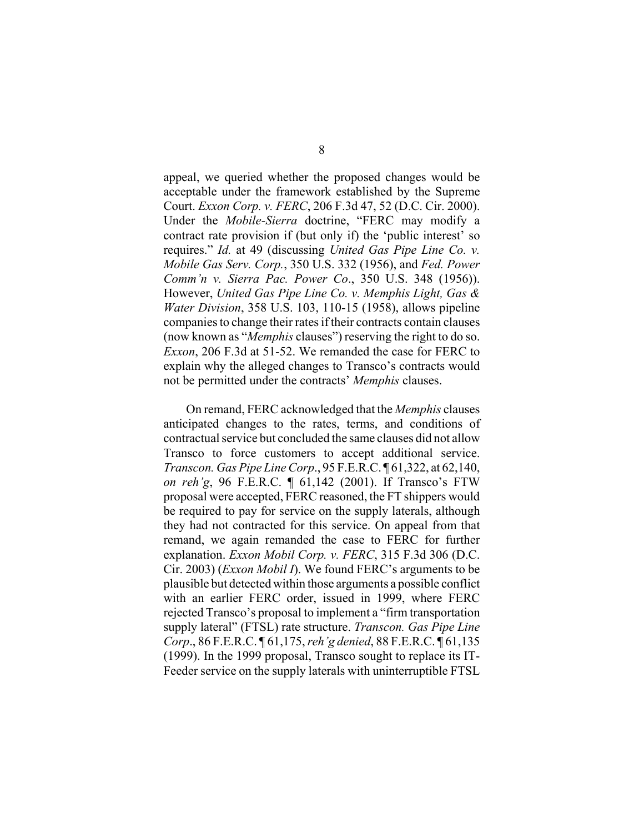appeal, we queried whether the proposed changes would be acceptable under the framework established by the Supreme Court. *Exxon Corp. v. FERC*, 206 F.3d 47, 52 (D.C. Cir. 2000). Under the *Mobile-Sierra* doctrine, "FERC may modify a contract rate provision if (but only if) the 'public interest' so requires." *Id.* at 49 (discussing *United Gas Pipe Line Co. v. Mobile Gas Serv. Corp.*, 350 U.S. 332 (1956), and *Fed. Power Comm'n v. Sierra Pac. Power Co*., 350 U.S. 348 (1956)). However, *United Gas Pipe Line Co. v. Memphis Light, Gas & Water Division*, 358 U.S. 103, 110-15 (1958), allows pipeline companies to change their rates if their contracts contain clauses (now known as "*Memphis* clauses") reserving the right to do so. *Exxon*, 206 F.3d at 51-52. We remanded the case for FERC to explain why the alleged changes to Transco's contracts would not be permitted under the contracts' *Memphis* clauses.

On remand, FERC acknowledged that the *Memphis* clauses anticipated changes to the rates, terms, and conditions of contractual service but concluded the same clauses did not allow Transco to force customers to accept additional service. *Transcon. Gas Pipe Line Corp*., 95 F.E.R.C. ¶ 61,322, at 62,140, *on reh'g*, 96 F.E.R.C. ¶ 61,142 (2001). If Transco's FTW proposal were accepted, FERC reasoned, the FT shippers would be required to pay for service on the supply laterals, although they had not contracted for this service. On appeal from that remand, we again remanded the case to FERC for further explanation. *Exxon Mobil Corp. v. FERC*, 315 F.3d 306 (D.C. Cir. 2003) (*Exxon Mobil I*). We found FERC's arguments to be plausible but detected within those arguments a possible conflict with an earlier FERC order, issued in 1999, where FERC rejected Transco's proposal to implement a "firm transportation supply lateral" (FTSL) rate structure. *Transcon. Gas Pipe Line Corp*., 86 F.E.R.C. ¶ 61,175, *reh'g denied*, 88 F.E.R.C. ¶ 61,135 (1999). In the 1999 proposal, Transco sought to replace its IT-Feeder service on the supply laterals with uninterruptible FTSL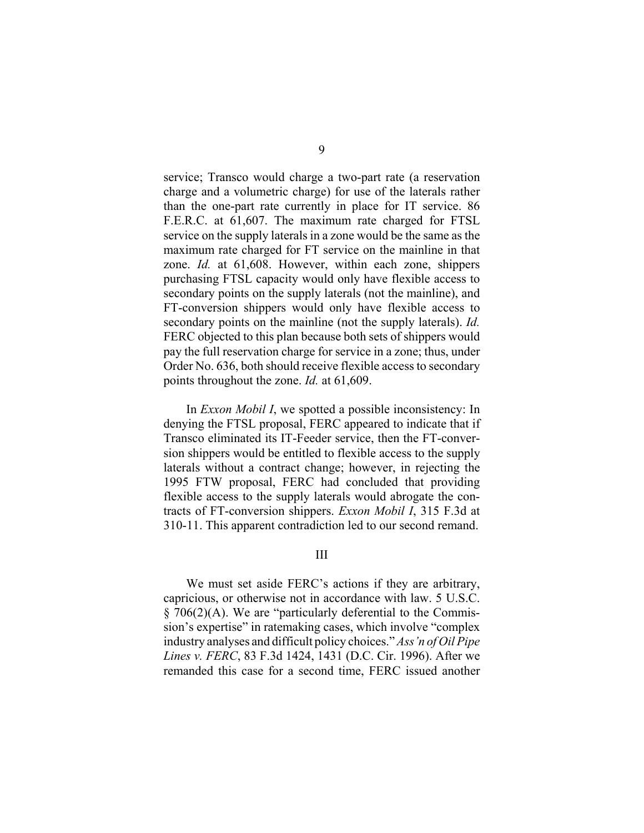service; Transco would charge a two-part rate (a reservation charge and a volumetric charge) for use of the laterals rather than the one-part rate currently in place for IT service. 86 F.E.R.C. at 61,607. The maximum rate charged for FTSL service on the supply laterals in a zone would be the same as the maximum rate charged for FT service on the mainline in that zone. *Id.* at 61,608. However, within each zone, shippers purchasing FTSL capacity would only have flexible access to secondary points on the supply laterals (not the mainline), and FT-conversion shippers would only have flexible access to secondary points on the mainline (not the supply laterals). *Id.* FERC objected to this plan because both sets of shippers would pay the full reservation charge for service in a zone; thus, under Order No. 636, both should receive flexible access to secondary points throughout the zone. *Id.* at 61,609.

In *Exxon Mobil I*, we spotted a possible inconsistency: In denying the FTSL proposal, FERC appeared to indicate that if Transco eliminated its IT-Feeder service, then the FT-conversion shippers would be entitled to flexible access to the supply laterals without a contract change; however, in rejecting the 1995 FTW proposal, FERC had concluded that providing flexible access to the supply laterals would abrogate the contracts of FT-conversion shippers. *Exxon Mobil I*, 315 F.3d at 310-11. This apparent contradiction led to our second remand.

## III

We must set aside FERC's actions if they are arbitrary, capricious, or otherwise not in accordance with law. 5 U.S.C. § 706(2)(A). We are "particularly deferential to the Commission's expertise" in ratemaking cases, which involve "complex industry analyses and difficult policy choices." *Ass'n of Oil Pipe Lines v. FERC*, 83 F.3d 1424, 1431 (D.C. Cir. 1996). After we remanded this case for a second time, FERC issued another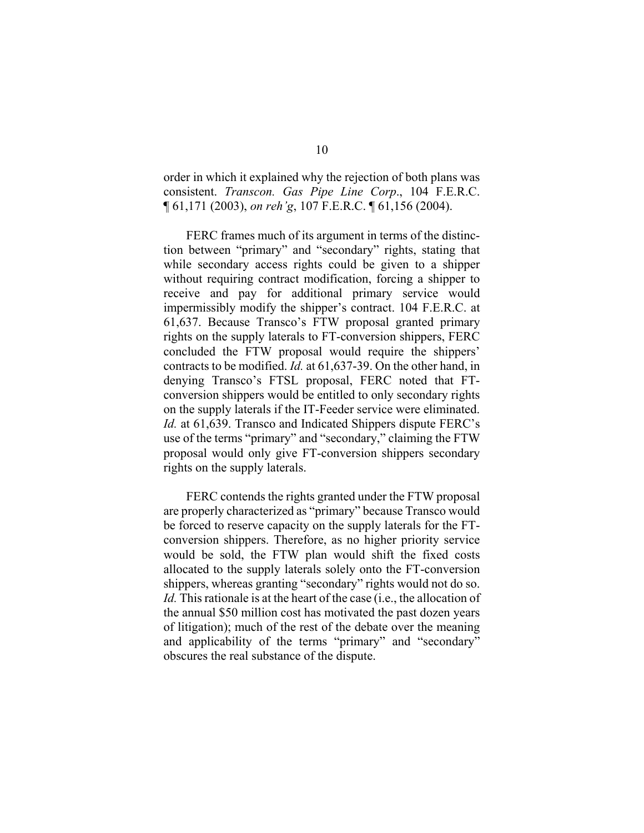order in which it explained why the rejection of both plans was consistent. *Transcon. Gas Pipe Line Corp*., 104 F.E.R.C. ¶ 61,171 (2003), *on reh'g*, 107 F.E.R.C. ¶ 61,156 (2004).

FERC frames much of its argument in terms of the distinction between "primary" and "secondary" rights, stating that while secondary access rights could be given to a shipper without requiring contract modification, forcing a shipper to receive and pay for additional primary service would impermissibly modify the shipper's contract. 104 F.E.R.C. at 61,637. Because Transco's FTW proposal granted primary rights on the supply laterals to FT-conversion shippers, FERC concluded the FTW proposal would require the shippers' contracts to be modified. *Id.* at 61,637-39. On the other hand, in denying Transco's FTSL proposal, FERC noted that FTconversion shippers would be entitled to only secondary rights on the supply laterals if the IT-Feeder service were eliminated. *Id.* at 61,639. Transco and Indicated Shippers dispute FERC's use of the terms "primary" and "secondary," claiming the FTW proposal would only give FT-conversion shippers secondary rights on the supply laterals.

FERC contends the rights granted under the FTW proposal are properly characterized as "primary" because Transco would be forced to reserve capacity on the supply laterals for the FTconversion shippers. Therefore, as no higher priority service would be sold, the FTW plan would shift the fixed costs allocated to the supply laterals solely onto the FT-conversion shippers, whereas granting "secondary" rights would not do so. *Id.* This rationale is at the heart of the case *(i.e., the allocation of* the annual \$50 million cost has motivated the past dozen years of litigation); much of the rest of the debate over the meaning and applicability of the terms "primary" and "secondary" obscures the real substance of the dispute.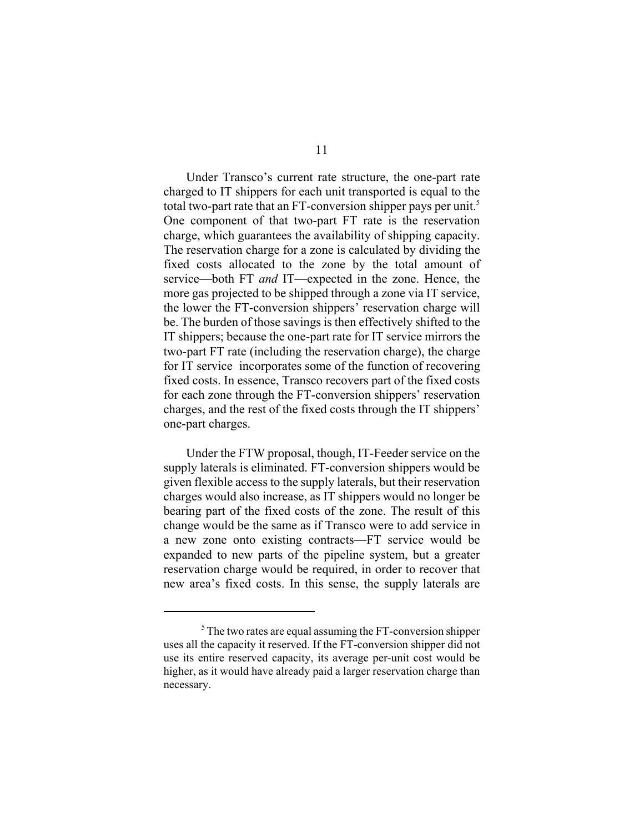Under Transco's current rate structure, the one-part rate charged to IT shippers for each unit transported is equal to the total two-part rate that an FT-conversion shipper pays per unit.<sup>5</sup> One component of that two-part FT rate is the reservation charge, which guarantees the availability of shipping capacity. The reservation charge for a zone is calculated by dividing the fixed costs allocated to the zone by the total amount of service—both FT *and* IT—expected in the zone. Hence, the more gas projected to be shipped through a zone via IT service, the lower the FT-conversion shippers' reservation charge will be. The burden of those savings is then effectively shifted to the IT shippers; because the one-part rate for IT service mirrors the two-part FT rate (including the reservation charge), the charge for IT service incorporates some of the function of recovering fixed costs. In essence, Transco recovers part of the fixed costs for each zone through the FT-conversion shippers' reservation charges, and the rest of the fixed costs through the IT shippers' one-part charges.

Under the FTW proposal, though, IT-Feeder service on the supply laterals is eliminated. FT-conversion shippers would be given flexible access to the supply laterals, but their reservation charges would also increase, as IT shippers would no longer be bearing part of the fixed costs of the zone. The result of this change would be the same as if Transco were to add service in a new zone onto existing contracts—FT service would be expanded to new parts of the pipeline system, but a greater reservation charge would be required, in order to recover that new area's fixed costs. In this sense, the supply laterals are

 $5$ The two rates are equal assuming the FT-conversion shipper uses all the capacity it reserved. If the FT-conversion shipper did not use its entire reserved capacity, its average per-unit cost would be higher, as it would have already paid a larger reservation charge than necessary.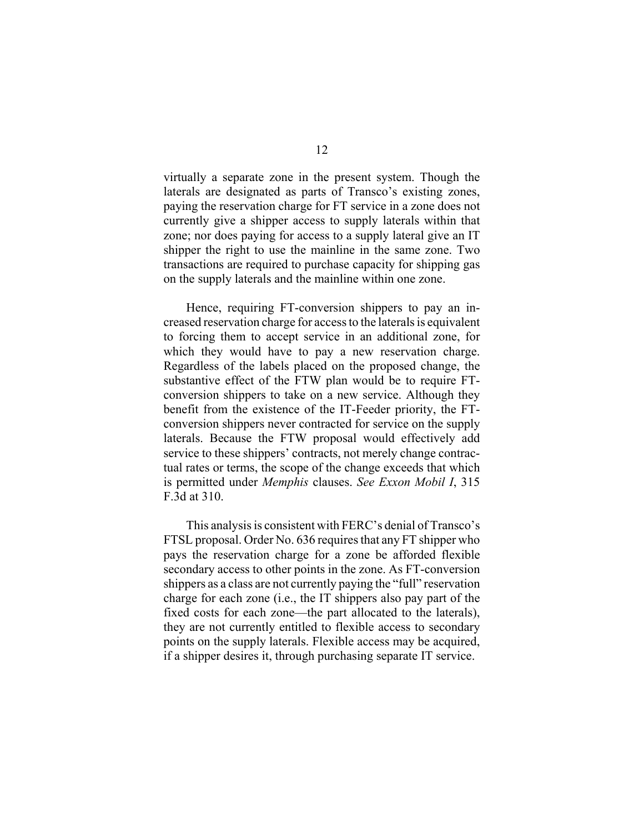virtually a separate zone in the present system. Though the laterals are designated as parts of Transco's existing zones, paying the reservation charge for FT service in a zone does not currently give a shipper access to supply laterals within that zone; nor does paying for access to a supply lateral give an IT shipper the right to use the mainline in the same zone. Two transactions are required to purchase capacity for shipping gas on the supply laterals and the mainline within one zone.

Hence, requiring FT-conversion shippers to pay an increased reservation charge for access to the laterals is equivalent to forcing them to accept service in an additional zone, for which they would have to pay a new reservation charge. Regardless of the labels placed on the proposed change, the substantive effect of the FTW plan would be to require FTconversion shippers to take on a new service. Although they benefit from the existence of the IT-Feeder priority, the FTconversion shippers never contracted for service on the supply laterals. Because the FTW proposal would effectively add service to these shippers' contracts, not merely change contractual rates or terms, the scope of the change exceeds that which is permitted under *Memphis* clauses. *See Exxon Mobil I*, 315 F.3d at 310.

This analysis is consistent with FERC's denial of Transco's FTSL proposal. Order No. 636 requires that any FT shipper who pays the reservation charge for a zone be afforded flexible secondary access to other points in the zone. As FT-conversion shippers as a class are not currently paying the "full" reservation charge for each zone (i.e., the IT shippers also pay part of the fixed costs for each zone—the part allocated to the laterals), they are not currently entitled to flexible access to secondary points on the supply laterals. Flexible access may be acquired, if a shipper desires it, through purchasing separate IT service.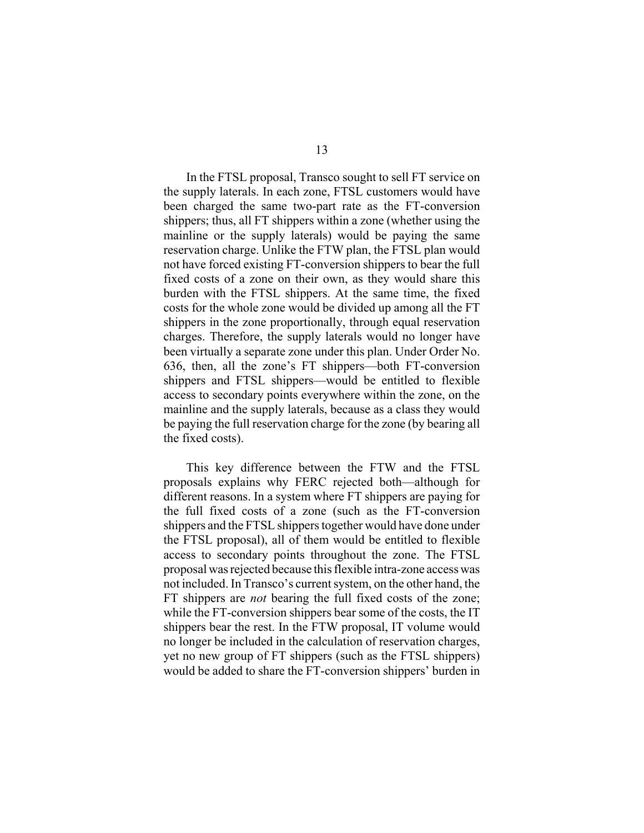In the FTSL proposal, Transco sought to sell FT service on the supply laterals. In each zone, FTSL customers would have been charged the same two-part rate as the FT-conversion shippers; thus, all FT shippers within a zone (whether using the mainline or the supply laterals) would be paying the same reservation charge. Unlike the FTW plan, the FTSL plan would not have forced existing FT-conversion shippers to bear the full fixed costs of a zone on their own, as they would share this burden with the FTSL shippers. At the same time, the fixed costs for the whole zone would be divided up among all the FT shippers in the zone proportionally, through equal reservation charges. Therefore, the supply laterals would no longer have been virtually a separate zone under this plan. Under Order No. 636, then, all the zone's FT shippers—both FT-conversion shippers and FTSL shippers—would be entitled to flexible access to secondary points everywhere within the zone, on the mainline and the supply laterals, because as a class they would be paying the full reservation charge for the zone (by bearing all the fixed costs).

This key difference between the FTW and the FTSL proposals explains why FERC rejected both—although for different reasons. In a system where FT shippers are paying for the full fixed costs of a zone (such as the FT-conversion shippers and the FTSL shippers together would have done under the FTSL proposal), all of them would be entitled to flexible access to secondary points throughout the zone. The FTSL proposal was rejected because this flexible intra-zone access was not included. In Transco's current system, on the other hand, the FT shippers are *not* bearing the full fixed costs of the zone; while the FT-conversion shippers bear some of the costs, the IT shippers bear the rest. In the FTW proposal, IT volume would no longer be included in the calculation of reservation charges, yet no new group of FT shippers (such as the FTSL shippers) would be added to share the FT-conversion shippers' burden in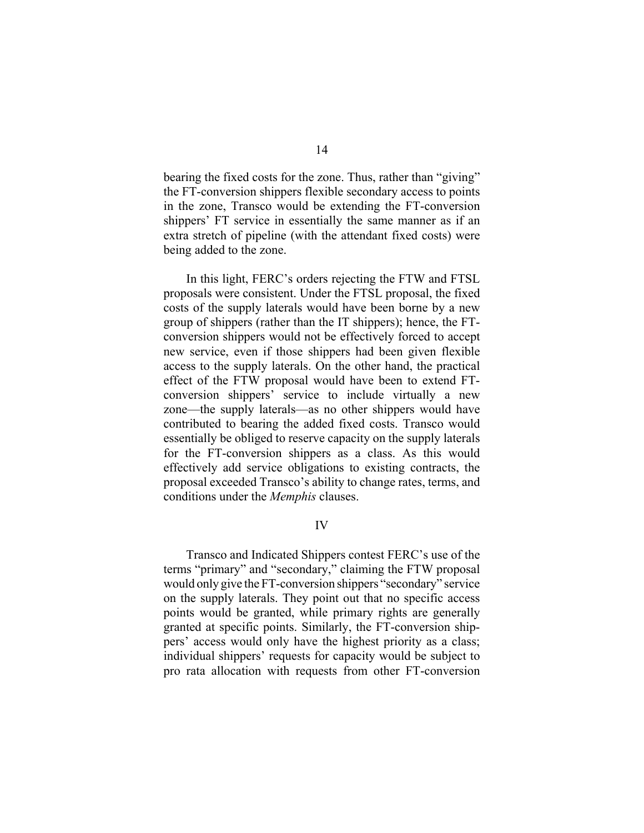bearing the fixed costs for the zone. Thus, rather than "giving" the FT-conversion shippers flexible secondary access to points in the zone, Transco would be extending the FT-conversion shippers' FT service in essentially the same manner as if an extra stretch of pipeline (with the attendant fixed costs) were being added to the zone.

In this light, FERC's orders rejecting the FTW and FTSL proposals were consistent. Under the FTSL proposal, the fixed costs of the supply laterals would have been borne by a new group of shippers (rather than the IT shippers); hence, the FTconversion shippers would not be effectively forced to accept new service, even if those shippers had been given flexible access to the supply laterals. On the other hand, the practical effect of the FTW proposal would have been to extend FTconversion shippers' service to include virtually a new zone—the supply laterals—as no other shippers would have contributed to bearing the added fixed costs. Transco would essentially be obliged to reserve capacity on the supply laterals for the FT-conversion shippers as a class. As this would effectively add service obligations to existing contracts, the proposal exceeded Transco's ability to change rates, terms, and conditions under the *Memphis* clauses.

IV

Transco and Indicated Shippers contest FERC's use of the terms "primary" and "secondary," claiming the FTW proposal would only give the FT-conversion shippers "secondary" service on the supply laterals. They point out that no specific access points would be granted, while primary rights are generally granted at specific points. Similarly, the FT-conversion shippers' access would only have the highest priority as a class; individual shippers' requests for capacity would be subject to pro rata allocation with requests from other FT-conversion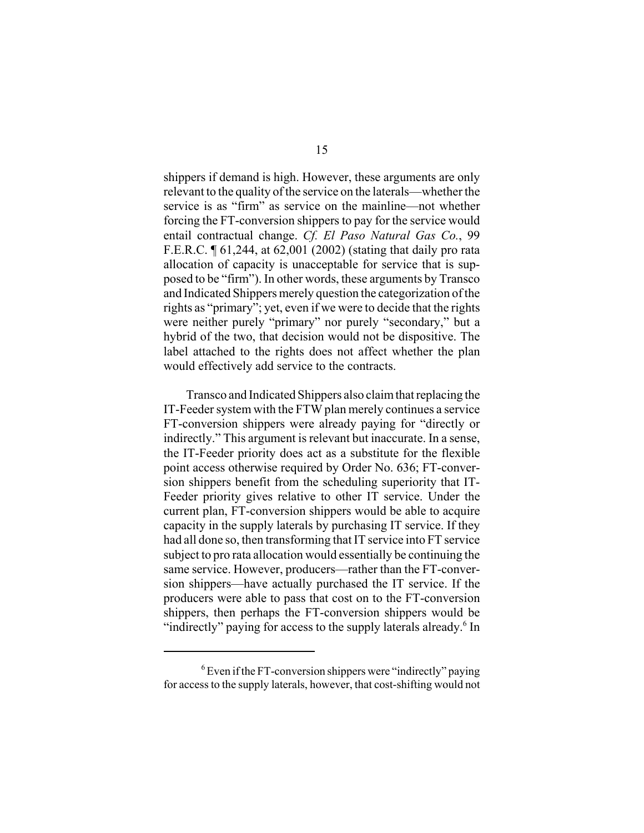shippers if demand is high. However, these arguments are only relevant to the quality of the service on the laterals—whether the service is as "firm" as service on the mainline—not whether forcing the FT-conversion shippers to pay for the service would entail contractual change. *Cf. El Paso Natural Gas Co.*, 99 F.E.R.C. ¶ 61,244, at 62,001 (2002) (stating that daily pro rata allocation of capacity is unacceptable for service that is supposed to be "firm"). In other words, these arguments by Transco and Indicated Shippers merely question the categorization of the rights as "primary"; yet, even if we were to decide that the rights were neither purely "primary" nor purely "secondary," but a hybrid of the two, that decision would not be dispositive. The label attached to the rights does not affect whether the plan would effectively add service to the contracts.

Transco and Indicated Shippers also claim that replacing the IT-Feeder system with the FTW plan merely continues a service FT-conversion shippers were already paying for "directly or indirectly." This argument is relevant but inaccurate. In a sense, the IT-Feeder priority does act as a substitute for the flexible point access otherwise required by Order No. 636; FT-conversion shippers benefit from the scheduling superiority that IT-Feeder priority gives relative to other IT service. Under the current plan, FT-conversion shippers would be able to acquire capacity in the supply laterals by purchasing IT service. If they had all done so, then transforming that IT service into FT service subject to pro rata allocation would essentially be continuing the same service. However, producers—rather than the FT-conversion shippers—have actually purchased the IT service. If the producers were able to pass that cost on to the FT-conversion shippers, then perhaps the FT-conversion shippers would be "indirectly" paying for access to the supply laterals already.<sup>6</sup> In

 $6$  Even if the FT-conversion shippers were "indirectly" paying for access to the supply laterals, however, that cost-shifting would not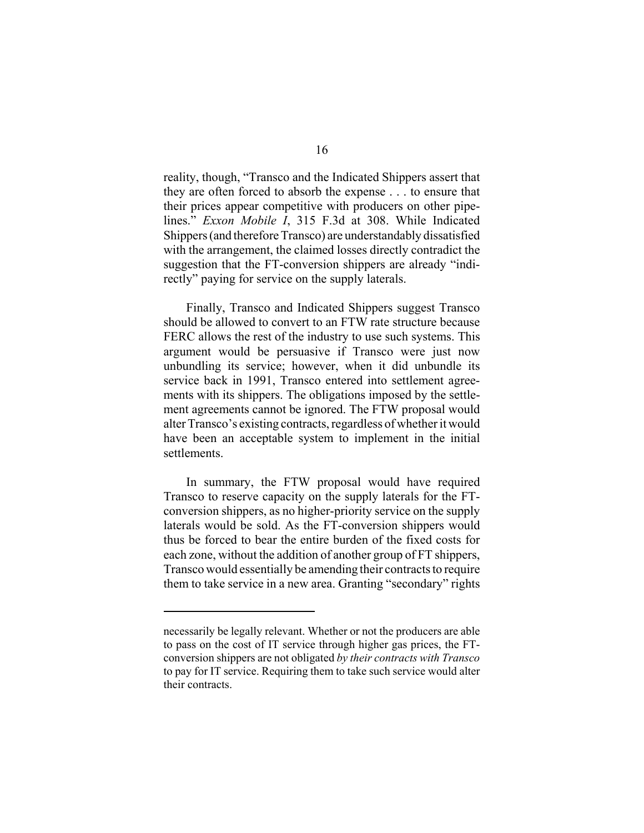reality, though, "Transco and the Indicated Shippers assert that they are often forced to absorb the expense . . . to ensure that their prices appear competitive with producers on other pipelines." *Exxon Mobile I*, 315 F.3d at 308. While Indicated Shippers (and therefore Transco) are understandably dissatisfied with the arrangement, the claimed losses directly contradict the suggestion that the FT-conversion shippers are already "indirectly" paying for service on the supply laterals.

Finally, Transco and Indicated Shippers suggest Transco should be allowed to convert to an FTW rate structure because FERC allows the rest of the industry to use such systems. This argument would be persuasive if Transco were just now unbundling its service; however, when it did unbundle its service back in 1991, Transco entered into settlement agreements with its shippers. The obligations imposed by the settlement agreements cannot be ignored. The FTW proposal would alter Transco's existing contracts, regardless of whether it would have been an acceptable system to implement in the initial settlements.

In summary, the FTW proposal would have required Transco to reserve capacity on the supply laterals for the FTconversion shippers, as no higher-priority service on the supply laterals would be sold. As the FT-conversion shippers would thus be forced to bear the entire burden of the fixed costs for each zone, without the addition of another group of FT shippers, Transco would essentially be amending their contracts to require them to take service in a new area. Granting "secondary" rights

necessarily be legally relevant. Whether or not the producers are able to pass on the cost of IT service through higher gas prices, the FTconversion shippers are not obligated *by their contracts with Transco* to pay for IT service. Requiring them to take such service would alter their contracts.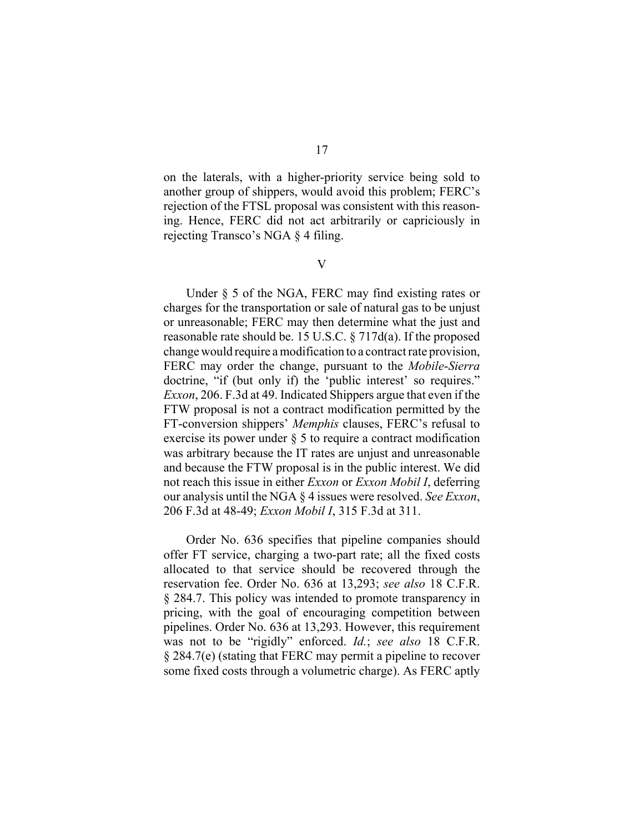on the laterals, with a higher-priority service being sold to another group of shippers, would avoid this problem; FERC's rejection of the FTSL proposal was consistent with this reasoning. Hence, FERC did not act arbitrarily or capriciously in rejecting Transco's NGA § 4 filing.

V

Under § 5 of the NGA, FERC may find existing rates or charges for the transportation or sale of natural gas to be unjust or unreasonable; FERC may then determine what the just and reasonable rate should be. 15 U.S.C. § 717d(a). If the proposed change would require a modification to a contract rate provision, FERC may order the change, pursuant to the *Mobile*-*Sierra* doctrine, "if (but only if) the 'public interest' so requires." *Exxon*, 206. F.3d at 49. Indicated Shippers argue that even if the FTW proposal is not a contract modification permitted by the FT-conversion shippers' *Memphis* clauses, FERC's refusal to exercise its power under § 5 to require a contract modification was arbitrary because the IT rates are unjust and unreasonable and because the FTW proposal is in the public interest. We did not reach this issue in either *Exxon* or *Exxon Mobil I*, deferring our analysis until the NGA § 4 issues were resolved. *See Exxon*, 206 F.3d at 48-49; *Exxon Mobil I*, 315 F.3d at 311.

Order No. 636 specifies that pipeline companies should offer FT service, charging a two-part rate; all the fixed costs allocated to that service should be recovered through the reservation fee. Order No. 636 at 13,293; *see also* 18 C.F.R. § 284.7. This policy was intended to promote transparency in pricing, with the goal of encouraging competition between pipelines. Order No. 636 at 13,293. However, this requirement was not to be "rigidly" enforced. *Id.*; *see also* 18 C.F.R. § 284.7(e) (stating that FERC may permit a pipeline to recover some fixed costs through a volumetric charge). As FERC aptly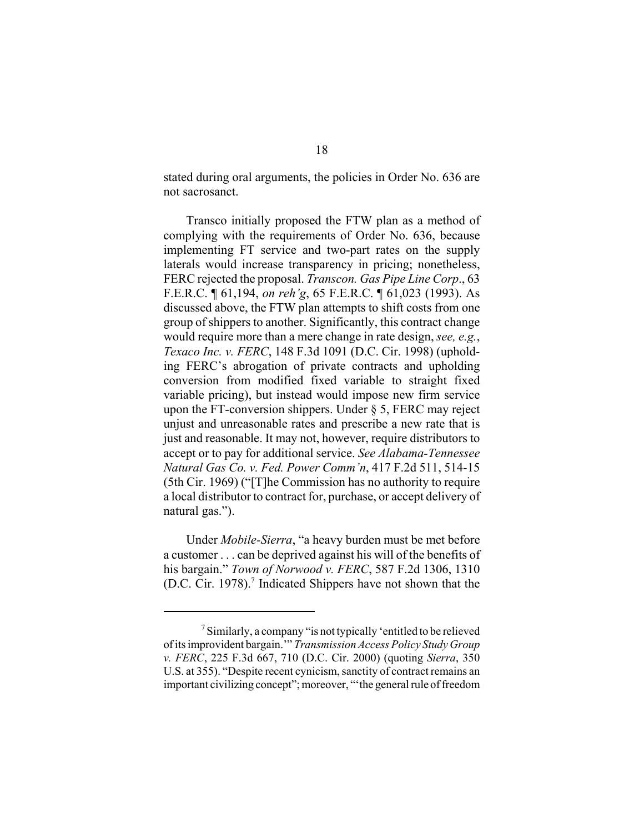stated during oral arguments, the policies in Order No. 636 are not sacrosanct.

Transco initially proposed the FTW plan as a method of complying with the requirements of Order No. 636, because implementing FT service and two-part rates on the supply laterals would increase transparency in pricing; nonetheless, FERC rejected the proposal. *Transcon. Gas Pipe Line Corp*., 63 F.E.R.C. ¶ 61,194, *on reh'g*, 65 F.E.R.C. ¶ 61,023 (1993). As discussed above, the FTW plan attempts to shift costs from one group of shippers to another. Significantly, this contract change would require more than a mere change in rate design, *see, e.g.*, *Texaco Inc. v. FERC*, 148 F.3d 1091 (D.C. Cir. 1998) (upholding FERC's abrogation of private contracts and upholding conversion from modified fixed variable to straight fixed variable pricing), but instead would impose new firm service upon the FT-conversion shippers. Under § 5, FERC may reject unjust and unreasonable rates and prescribe a new rate that is just and reasonable. It may not, however, require distributors to accept or to pay for additional service. *See Alabama-Tennessee Natural Gas Co. v. Fed. Power Comm'n*, 417 F.2d 511, 514-15 (5th Cir. 1969) ("[T]he Commission has no authority to require a local distributor to contract for, purchase, or accept delivery of natural gas.").

Under *Mobile-Sierra*, "a heavy burden must be met before a customer . . . can be deprived against his will of the benefits of his bargain." *Town of Norwood v. FERC*, 587 F.2d 1306, 1310 (D.C. Cir. 1978).<sup>7</sup> Indicated Shippers have not shown that the

<sup>7</sup>Similarly, a company "is not typically 'entitled to be relieved of its improvident bargain.'" *Transmission Access Policy Study Group v. FERC*, 225 F.3d 667, 710 (D.C. Cir. 2000) (quoting *Sierra*, 350 U.S. at 355). "Despite recent cynicism, sanctity of contract remains an important civilizing concept"; moreover, "'the general rule of freedom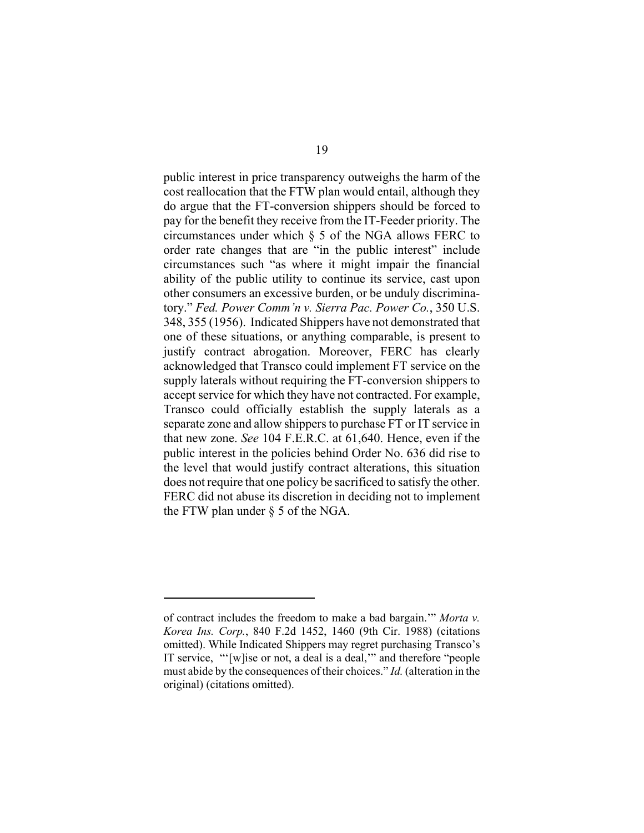public interest in price transparency outweighs the harm of the cost reallocation that the FTW plan would entail, although they do argue that the FT-conversion shippers should be forced to pay for the benefit they receive from the IT-Feeder priority. The circumstances under which § 5 of the NGA allows FERC to order rate changes that are "in the public interest" include circumstances such "as where it might impair the financial ability of the public utility to continue its service, cast upon other consumers an excessive burden, or be unduly discriminatory." *Fed. Power Comm'n v. Sierra Pac. Power Co.*, 350 U.S. 348, 355 (1956). Indicated Shippers have not demonstrated that one of these situations, or anything comparable, is present to justify contract abrogation. Moreover, FERC has clearly acknowledged that Transco could implement FT service on the supply laterals without requiring the FT-conversion shippers to accept service for which they have not contracted. For example, Transco could officially establish the supply laterals as a separate zone and allow shippers to purchase FT or IT service in that new zone. *See* 104 F.E.R.C. at 61,640. Hence, even if the public interest in the policies behind Order No. 636 did rise to the level that would justify contract alterations, this situation does not require that one policy be sacrificed to satisfy the other. FERC did not abuse its discretion in deciding not to implement the FTW plan under § 5 of the NGA.

of contract includes the freedom to make a bad bargain.'" *Morta v. Korea Ins. Corp.*, 840 F.2d 1452, 1460 (9th Cir. 1988) (citations omitted). While Indicated Shippers may regret purchasing Transco's IT service, "'[w]ise or not, a deal is a deal,'" and therefore "people must abide by the consequences of their choices." *Id.* (alteration in the original) (citations omitted).